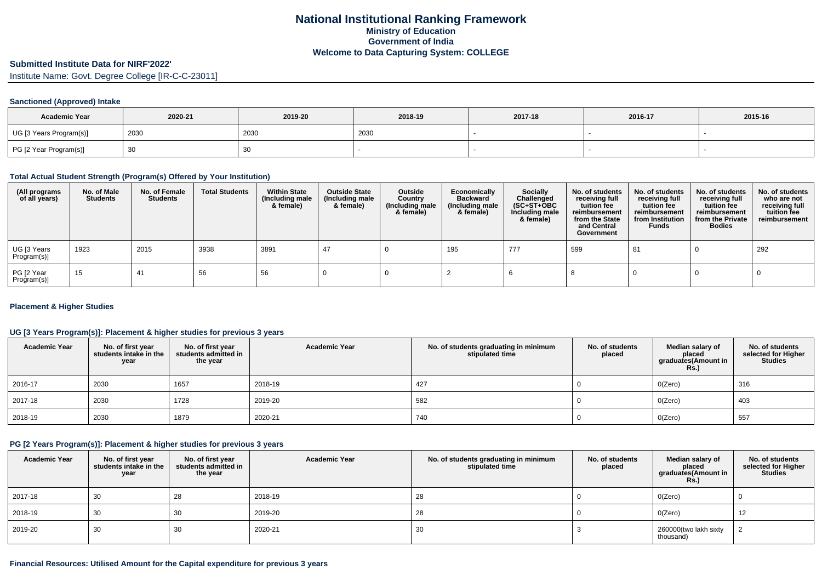# **Submitted Institute Data for NIRF'2022'**

Institute Name: Govt. Degree College [IR-C-C-23011]

### **Sanctioned (Approved) Intake**

| <b>Academic Year</b>    | 2020-21 | 2019-20 | 2018-19 | 2017-18 | 2016-17 | 2015-16 |
|-------------------------|---------|---------|---------|---------|---------|---------|
| UG [3 Years Program(s)] | 2030    | 2030    | 2030    |         |         |         |
| PG [2 Year Program(s)]  |         | 30      |         |         |         |         |

#### **Total Actual Student Strength (Program(s) Offered by Your Institution)**

| (All programs<br>of all years) | No. of Male<br><b>Students</b> | No. of Female<br>Students | <b>Total Students</b> | <b>Within State</b><br>(Including male<br>& female) | <b>Outside State</b><br>(Including male<br>& female) | Outside<br>Country<br>(Including male<br>& female) | Economically<br><b>Backward</b><br>(Including male<br>& female) | <b>Socially</b><br>Challenged<br>$(SC+ST+OBC)$<br>Including male<br>& female) | No. of students<br>receiving full<br>tuition fee<br>reimbursement<br>from the State<br>and Central<br>Government | No. of students<br>receiving full<br>tuition fee<br>reimbursement<br>from Institution<br><b>Funds</b> | No. of students<br>receiving full<br>tuition fee<br>reimbursement<br>from the Private<br><b>Bodies</b> | No. of students<br>who are not<br>receiving full<br>tuition fee<br>reimbursement |
|--------------------------------|--------------------------------|---------------------------|-----------------------|-----------------------------------------------------|------------------------------------------------------|----------------------------------------------------|-----------------------------------------------------------------|-------------------------------------------------------------------------------|------------------------------------------------------------------------------------------------------------------|-------------------------------------------------------------------------------------------------------|--------------------------------------------------------------------------------------------------------|----------------------------------------------------------------------------------|
| UG [3 Years<br>Program(s)]     | 1923                           | 2015                      | 3938                  | 3891                                                | -47                                                  |                                                    | 195                                                             | 777                                                                           | 599                                                                                                              | 81                                                                                                    |                                                                                                        | 292                                                                              |
| PG [2 Year<br>Program(s)]      | 15                             | 41                        | 56                    | 56                                                  |                                                      |                                                    |                                                                 |                                                                               |                                                                                                                  |                                                                                                       |                                                                                                        |                                                                                  |

### **Placement & Higher Studies**

### **UG [3 Years Program(s)]: Placement & higher studies for previous 3 years**

| <b>Academic Year</b> | No. of first year<br>students intake in the<br>year | No. of first year<br>students admitted in<br>the year | <b>Academic Year</b> | No. of students graduating in minimum<br>stipulated time | No. of students<br>placed | Median salary of<br>placed<br>graduates(Amount in<br><b>Rs.)</b> | No. of students<br>selected for Higher<br><b>Studies</b> |
|----------------------|-----------------------------------------------------|-------------------------------------------------------|----------------------|----------------------------------------------------------|---------------------------|------------------------------------------------------------------|----------------------------------------------------------|
| 2016-17              | 2030                                                | 1657                                                  | 2018-19              | 427                                                      |                           | O(Zero)                                                          | 316                                                      |
| 2017-18              | 2030                                                | 1728                                                  | 2019-20              | 582                                                      |                           | O(Zero)                                                          | 403                                                      |
| 2018-19              | 2030                                                | 1879                                                  | 2020-21              | 740                                                      |                           | O(Zero)                                                          | 557                                                      |

#### **PG [2 Years Program(s)]: Placement & higher studies for previous 3 years**

| <b>Academic Year</b> | No. of first year<br>students intake in the<br>year | No. of first year<br>students admitted in<br>the year | <b>Academic Year</b> | No. of students graduating in minimum<br>stipulated time | No. of students<br>placed | Median salary of<br>placed<br>graduates(Amount in<br><b>Rs.)</b> | No. of students<br>selected for Higher<br><b>Studies</b> |
|----------------------|-----------------------------------------------------|-------------------------------------------------------|----------------------|----------------------------------------------------------|---------------------------|------------------------------------------------------------------|----------------------------------------------------------|
| 2017-18              | 30                                                  | 28                                                    | 2018-19              | 28                                                       |                           | O(Zero)                                                          |                                                          |
| 2018-19              | 30                                                  | 30                                                    | 2019-20              | 28                                                       |                           | O(Zero)                                                          | 12                                                       |
| 2019-20              | 30                                                  | 30                                                    | 2020-21              | 30                                                       |                           | 260000(two lakh sixty<br>thousand)                               |                                                          |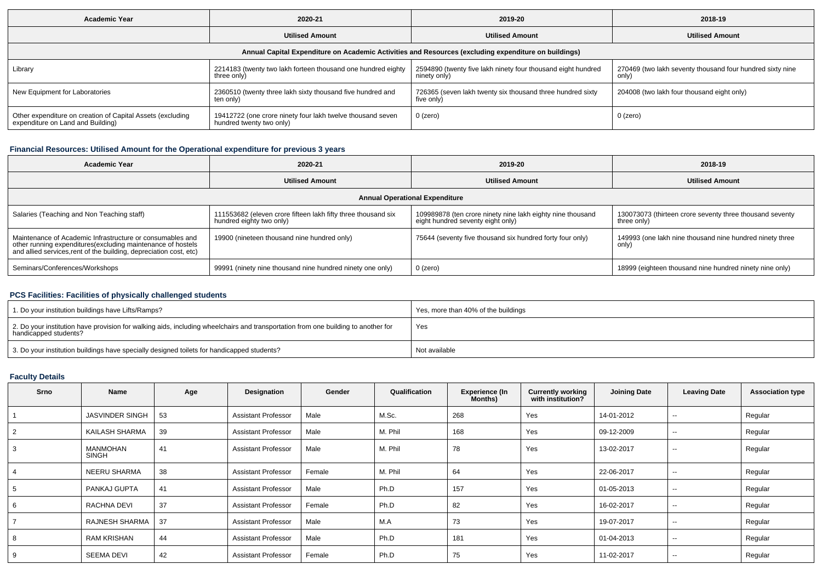| <b>Academic Year</b>                                                                            | 2020-21                                                                                | 2019-20                                                                                              | 2018-19                                                            |
|-------------------------------------------------------------------------------------------------|----------------------------------------------------------------------------------------|------------------------------------------------------------------------------------------------------|--------------------------------------------------------------------|
|                                                                                                 | <b>Utilised Amount</b>                                                                 | <b>Utilised Amount</b>                                                                               | <b>Utilised Amount</b>                                             |
|                                                                                                 |                                                                                        | Annual Capital Expenditure on Academic Activities and Resources (excluding expenditure on buildings) |                                                                    |
| Library                                                                                         | 2214183 (twenty two lakh forteen thousand one hundred eighty<br>three only)            | 2594890 (twenty five lakh ninety four thousand eight hundred<br>ninety only)                         | 270469 (two lakh seventy thousand four hundred sixty nine<br>only) |
| New Equipment for Laboratories                                                                  | 2360510 (twenty three lakh sixty thousand five hundred and<br>ten only)                | 726365 (seven lakh twenty six thousand three hundred sixty<br>five only)                             | 204008 (two lakh four thousand eight only)                         |
| Other expenditure on creation of Capital Assets (excluding<br>expenditure on Land and Building) | 19412722 (one crore ninety four lakh twelve thousand seven<br>hundred twenty two only) | $0$ (zero)                                                                                           | 0 (zero)                                                           |

## **Financial Resources: Utilised Amount for the Operational expenditure for previous 3 years**

| Academic Year                                                                                                                                                                                  | 2020-21                                                                                   | 2019-20                                                                                         | 2018-19                                                                 |
|------------------------------------------------------------------------------------------------------------------------------------------------------------------------------------------------|-------------------------------------------------------------------------------------------|-------------------------------------------------------------------------------------------------|-------------------------------------------------------------------------|
|                                                                                                                                                                                                | <b>Utilised Amount</b>                                                                    | <b>Utilised Amount</b>                                                                          | <b>Utilised Amount</b>                                                  |
|                                                                                                                                                                                                |                                                                                           | <b>Annual Operational Expenditure</b>                                                           |                                                                         |
| Salaries (Teaching and Non Teaching staff)                                                                                                                                                     | 111553682 (eleven crore fifteen lakh fifty three thousand six<br>hundred eighty two only) | 109989878 (ten crore ninety nine lakh eighty nine thousand<br>eight hundred seventy eight only) | 130073073 (thirteen crore seventy three thousand seventy<br>three only) |
| Maintenance of Academic Infrastructure or consumables and<br>other running expenditures(excluding maintenance of hostels<br>and allied services, rent of the building, depreciation cost, etc) | 19900 (nineteen thousand nine hundred only)                                               | 75644 (seventy five thousand six hundred forty four only)                                       | 149993 (one lakh nine thousand nine hundred ninety three<br>only)       |
| Seminars/Conferences/Workshops                                                                                                                                                                 | 99991 (ninety nine thousand nine hundred ninety one only)                                 | 0 (zero)                                                                                        | 18999 (eighteen thousand nine hundred ninety nine only)                 |

## **PCS Facilities: Facilities of physically challenged students**

| 1. Do your institution buildings have Lifts/Ramps?                                                                                                         | Yes, more than 40% of the buildings |
|------------------------------------------------------------------------------------------------------------------------------------------------------------|-------------------------------------|
| 2. Do your institution have provision for walking aids, including wheelchairs and transportation from one building to another for<br>handicapped students? | Yes                                 |
| 3. Do your institution buildings have specially designed toilets for handicapped students?                                                                 | Not available                       |

### **Faculty Details**

| Srno | Name                   | Age | Designation                | Gender | Qualification | <b>Experience (In</b><br>Months) | <b>Currently working</b><br>with institution? | <b>Joining Date</b> | <b>Leaving Date</b>      | <b>Association type</b> |
|------|------------------------|-----|----------------------------|--------|---------------|----------------------------------|-----------------------------------------------|---------------------|--------------------------|-------------------------|
|      | <b>JASVINDER SINGH</b> | 53  | <b>Assistant Professor</b> | Male   | M.Sc.         | 268                              | Yes                                           | 14-01-2012          | --                       | Regular                 |
| ∠    | KAILASH SHARMA         | 39  | <b>Assistant Professor</b> | Male   | M. Phil       | 168                              | Yes                                           | 09-12-2009          | $\overline{\phantom{a}}$ | Regular                 |
|      | MANMOHAN<br>SINGH      | 41  | <b>Assistant Professor</b> | Male   | M. Phil       | 78                               | Yes                                           | 13-02-2017          | $\overline{\phantom{a}}$ | Regular                 |
|      | NEERU SHARMA           | 38  | <b>Assistant Professor</b> | Female | M. Phil       | 64                               | Yes                                           | 22-06-2017          | $\sim$                   | Regular                 |
|      | PANKAJ GUPTA           | 41  | <b>Assistant Professor</b> | Male   | Ph.D          | 157                              | Yes                                           | 01-05-2013          | $\overline{\phantom{a}}$ | Regular                 |
| b    | RACHNA DEVI            | 37  | <b>Assistant Professor</b> | Female | Ph.D          | 82                               | Yes                                           | 16-02-2017          | $\sim$                   | Regular                 |
|      | RAJNESH SHARMA         | 37  | Assistant Professor        | Male   | M.A           | 73                               | Yes                                           | 19-07-2017          | $\overline{\phantom{a}}$ | Regular                 |
|      | <b>RAM KRISHAN</b>     | 44  | <b>Assistant Professor</b> | Male   | Ph.D          | 181                              | Yes                                           | 01-04-2013          | $\overline{\phantom{a}}$ | Regular                 |
|      | <b>SEEMA DEVI</b>      | 42  | <b>Assistant Professor</b> | Female | Ph.D          | 75                               | Yes                                           | 11-02-2017          | --                       | Regular                 |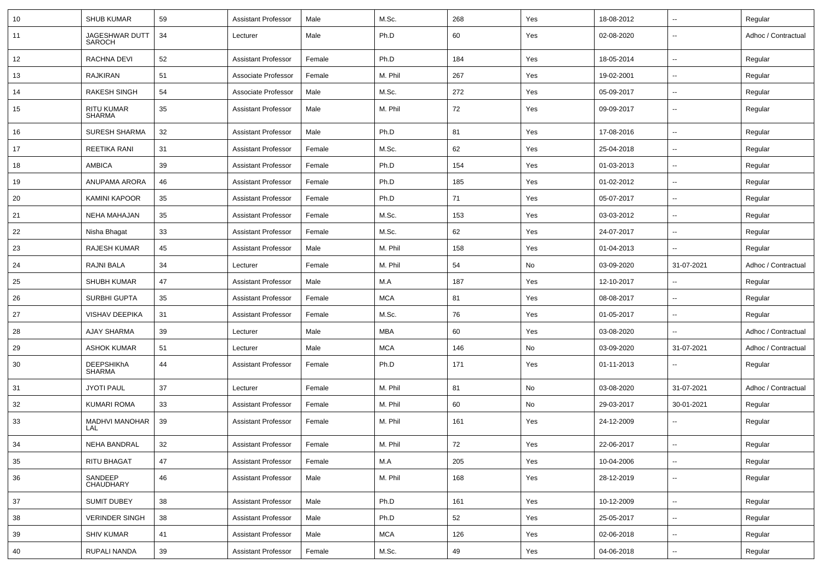| 10 | <b>SHUB KUMAR</b>                  | 59 | <b>Assistant Professor</b> | Male   | M.Sc.      | 268 | Yes | 18-08-2012 | $\overline{\phantom{a}}$ | Regular             |
|----|------------------------------------|----|----------------------------|--------|------------|-----|-----|------------|--------------------------|---------------------|
| 11 | JAGESHWAR DUTT<br>SAROCH           | 34 | Lecturer                   | Male   | Ph.D       | 60  | Yes | 02-08-2020 | $\overline{\phantom{a}}$ | Adhoc / Contractual |
| 12 | RACHNA DEVI                        | 52 | Assistant Professor        | Female | Ph.D       | 184 | Yes | 18-05-2014 | $\overline{\phantom{a}}$ | Regular             |
| 13 | <b>RAJKIRAN</b>                    | 51 | Associate Professor        | Female | M. Phil    | 267 | Yes | 19-02-2001 | $\overline{\phantom{a}}$ | Regular             |
| 14 | <b>RAKESH SINGH</b>                | 54 | Associate Professor        | Male   | M.Sc.      | 272 | Yes | 05-09-2017 | $\overline{\phantom{a}}$ | Regular             |
| 15 | RITU KUMAR<br><b>SHARMA</b>        | 35 | <b>Assistant Professor</b> | Male   | M. Phil    | 72  | Yes | 09-09-2017 | $\overline{\phantom{a}}$ | Regular             |
| 16 | <b>SURESH SHARMA</b>               | 32 | <b>Assistant Professor</b> | Male   | Ph.D       | 81  | Yes | 17-08-2016 | $\ddotsc$                | Regular             |
| 17 | <b>REETIKA RANI</b>                | 31 | Assistant Professor        | Female | M.Sc.      | 62  | Yes | 25-04-2018 | $\overline{\phantom{a}}$ | Regular             |
| 18 | <b>AMBICA</b>                      | 39 | Assistant Professor        | Female | Ph.D       | 154 | Yes | 01-03-2013 | $\overline{\phantom{a}}$ | Regular             |
| 19 | ANUPAMA ARORA                      | 46 | Assistant Professor        | Female | Ph.D       | 185 | Yes | 01-02-2012 | $\overline{\phantom{a}}$ | Regular             |
| 20 | <b>KAMINI KAPOOR</b>               | 35 | <b>Assistant Professor</b> | Female | Ph.D       | 71  | Yes | 05-07-2017 | $\overline{\phantom{a}}$ | Regular             |
| 21 | <b>NEHA MAHAJAN</b>                | 35 | <b>Assistant Professor</b> | Female | M.Sc.      | 153 | Yes | 03-03-2012 | $\overline{\phantom{a}}$ | Regular             |
| 22 | Nisha Bhagat                       | 33 | Assistant Professor        | Female | M.Sc.      | 62  | Yes | 24-07-2017 | $\overline{\phantom{a}}$ | Regular             |
| 23 | <b>RAJESH KUMAR</b>                | 45 | <b>Assistant Professor</b> | Male   | M. Phil    | 158 | Yes | 01-04-2013 | $\overline{\phantom{a}}$ | Regular             |
| 24 | RAJNI BALA                         | 34 | Lecturer                   | Female | M. Phil    | 54  | No  | 03-09-2020 | 31-07-2021               | Adhoc / Contractual |
| 25 | SHUBH KUMAR                        | 47 | <b>Assistant Professor</b> | Male   | M.A        | 187 | Yes | 12-10-2017 | $\overline{\phantom{a}}$ | Regular             |
| 26 | <b>SURBHI GUPTA</b>                | 35 | <b>Assistant Professor</b> | Female | <b>MCA</b> | 81  | Yes | 08-08-2017 | $\overline{\phantom{a}}$ | Regular             |
| 27 | <b>VISHAV DEEPIKA</b>              | 31 | <b>Assistant Professor</b> | Female | M.Sc.      | 76  | Yes | 01-05-2017 | $\overline{\phantom{a}}$ | Regular             |
| 28 | <b>AJAY SHARMA</b>                 | 39 | Lecturer                   | Male   | <b>MBA</b> | 60  | Yes | 03-08-2020 | $\ddotsc$                | Adhoc / Contractual |
| 29 | <b>ASHOK KUMAR</b>                 | 51 | Lecturer                   | Male   | <b>MCA</b> | 146 | No  | 03-09-2020 | 31-07-2021               | Adhoc / Contractual |
| 30 | <b>DEEPSHIKhA</b><br><b>SHARMA</b> | 44 | <b>Assistant Professor</b> | Female | Ph.D       | 171 | Yes | 01-11-2013 | $\overline{\phantom{a}}$ | Regular             |
| 31 | <b>JYOTI PAUL</b>                  | 37 | Lecturer                   | Female | M. Phil    | 81  | No  | 03-08-2020 | 31-07-2021               | Adhoc / Contractual |
| 32 | KUMARI ROMA                        | 33 | Assistant Professor        | Female | M. Phil    | 60  | No  | 29-03-2017 | 30-01-2021               | Regular             |
| 33 | <b>MADHVI MANOHAR</b><br>LAL       | 39 | <b>Assistant Professor</b> | Female | M. Phil    | 161 | Yes | 24-12-2009 | $\overline{\phantom{a}}$ | Regular             |
| 34 | <b>NEHA BANDRAL</b>                | 32 | <b>Assistant Professor</b> | Female | M. Phil    | 72  | Yes | 22-06-2017 | $\overline{\phantom{a}}$ | Regular             |
| 35 | <b>RITU BHAGAT</b>                 | 47 | <b>Assistant Professor</b> | Female | M.A        | 205 | Yes | 10-04-2006 | $\overline{\phantom{a}}$ | Regular             |
| 36 | SANDEEP<br>CHAUDHARY               | 46 | <b>Assistant Professor</b> | Male   | M. Phil    | 168 | Yes | 28-12-2019 | $\overline{\phantom{a}}$ | Regular             |
| 37 | <b>SUMIT DUBEY</b>                 | 38 | <b>Assistant Professor</b> | Male   | Ph.D       | 161 | Yes | 10-12-2009 | $\overline{\phantom{a}}$ | Regular             |
| 38 | <b>VERINDER SINGH</b>              | 38 | <b>Assistant Professor</b> | Male   | Ph.D       | 52  | Yes | 25-05-2017 | $\overline{\phantom{a}}$ | Regular             |
| 39 | <b>SHIV KUMAR</b>                  | 41 | <b>Assistant Professor</b> | Male   | <b>MCA</b> | 126 | Yes | 02-06-2018 | $\overline{\phantom{a}}$ | Regular             |
| 40 | RUPALI NANDA                       | 39 | <b>Assistant Professor</b> | Female | M.Sc.      | 49  | Yes | 04-06-2018 | ۰.                       | Regular             |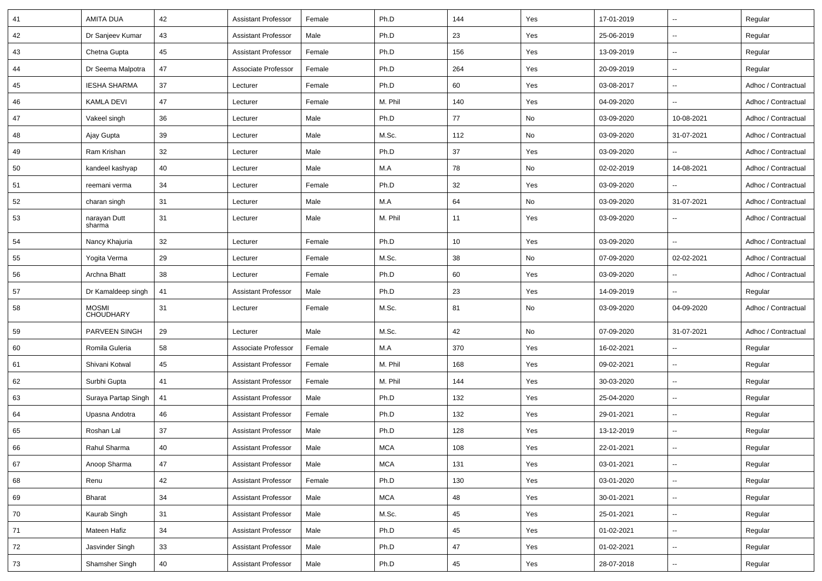| 41 | <b>AMITA DUA</b>                 | 42 | <b>Assistant Professor</b> | Female | Ph.D       | 144     | Yes                           | 17-01-2019 |                          | Regular             |
|----|----------------------------------|----|----------------------------|--------|------------|---------|-------------------------------|------------|--------------------------|---------------------|
| 42 | Dr Sanjeev Kumar                 | 43 | <b>Assistant Professor</b> | Male   | Ph.D       | 23      | Yes                           | 25-06-2019 | $\sim$                   | Regular             |
| 43 | Chetna Gupta                     | 45 | <b>Assistant Professor</b> | Female | Ph.D       | 156     | Yes                           | 13-09-2019 | $\overline{\phantom{a}}$ | Regular             |
| 44 | Dr Seema Malpotra                | 47 | Associate Professor        | Female | Ph.D       | 264     | Yes                           | 20-09-2019 | $\sim$                   | Regular             |
| 45 | <b>IESHA SHARMA</b>              | 37 | Lecturer                   | Female | Ph.D       | 60      | Yes                           | 03-08-2017 | $\mathbf{u}$             | Adhoc / Contractual |
| 46 | <b>KAMLA DEVI</b>                | 47 | Lecturer                   | Female | M. Phil    | 140     | Yes                           | 04-09-2020 |                          | Adhoc / Contractual |
| 47 | Vakeel singh                     | 36 | Lecturer                   | Male   | Ph.D       | 77      | No                            | 03-09-2020 | 10-08-2021               | Adhoc / Contractual |
| 48 | Ajay Gupta                       | 39 | Lecturer                   | Male   | M.Sc.      | 112     | No                            | 03-09-2020 | 31-07-2021               | Adhoc / Contractual |
| 49 | Ram Krishan                      | 32 | Lecturer                   | Male   | Ph.D       | 37      | Yes                           | 03-09-2020 |                          | Adhoc / Contractual |
| 50 | kandeel kashyap                  | 40 | Lecturer                   | Male   | M.A        | 78      | No                            | 02-02-2019 | 14-08-2021               | Adhoc / Contractual |
| 51 | reemani verma                    | 34 | Lecturer                   | Female | Ph.D       | 32      | Yes                           | 03-09-2020 |                          | Adhoc / Contractual |
| 52 | charan singh                     | 31 | Lecturer                   | Male   | M.A        | 64      | No                            | 03-09-2020 | 31-07-2021               | Adhoc / Contractual |
| 53 | narayan Dutt<br>sharma           | 31 | Lecturer                   | Male   | M. Phil    | 11      | Yes                           | 03-09-2020 |                          | Adhoc / Contractual |
| 54 | Nancy Khajuria                   | 32 | Lecturer                   | Female | Ph.D       | 10      | Yes                           | 03-09-2020 | $\ddotsc$                | Adhoc / Contractual |
| 55 | Yogita Verma                     | 29 | Lecturer                   | Female | M.Sc.      | 38      | No                            | 07-09-2020 | 02-02-2021               | Adhoc / Contractual |
| 56 | Archna Bhatt                     | 38 | Lecturer                   | Female | Ph.D       | 60      | Yes                           | 03-09-2020 |                          | Adhoc / Contractual |
| 57 | Dr Kamaldeep singh               | 41 | <b>Assistant Professor</b> | Male   | Ph.D       | 23      | Yes                           | 14-09-2019 | $\overline{\phantom{a}}$ | Regular             |
| 58 | <b>MOSMI</b><br><b>CHOUDHARY</b> | 31 | Lecturer                   | Female | M.Sc.      | 81      | No                            | 03-09-2020 | 04-09-2020               | Adhoc / Contractual |
| 59 | PARVEEN SINGH                    | 29 | Lecturer                   | Male   | M.Sc.      | 42      | No                            | 07-09-2020 | 31-07-2021               | Adhoc / Contractual |
| 60 | Romila Guleria                   | 58 | Associate Professor        | Female | M.A        | 370     | Yes                           | 16-02-2021 | $\overline{\phantom{a}}$ | Regular             |
| 61 | Shivani Kotwal                   | 45 | <b>Assistant Professor</b> | Female | M. Phil    | 168     | Yes                           | 09-02-2021 | $\sim$                   | Regular             |
| 62 | Surbhi Gupta                     | 41 | <b>Assistant Professor</b> | Female | M. Phil    | 144     | Yes                           | 30-03-2020 | $\overline{\phantom{a}}$ | Regular             |
| 63 | Suraya Partap Singh              | 41 | <b>Assistant Professor</b> | Male   | Ph.D       | 132     | Yes                           | 25-04-2020 | $\overline{\phantom{a}}$ | Regular             |
| 64 | Upasna Andotra                   | 46 | <b>Assistant Professor</b> | Female | Ph.D       | 132     | Yes                           | 29-01-2021 | $\sim$                   | Regular             |
| 65 | Roshan Lal                       | 37 | <b>Assistant Professor</b> | Male   | Ph.D       | 128     | Yes                           | 13-12-2019 | $\mathbf{u}$             | Regular             |
| 66 | Rahul Sharma                     | 40 | Assistant Professor        | Male   | <b>MCA</b> | $108\,$ | $\operatorname{\mathsf{Yes}}$ | 22-01-2021 |                          | Regular             |
| 67 | Anoop Sharma                     | 47 | <b>Assistant Professor</b> | Male   | <b>MCA</b> | 131     | Yes                           | 03-01-2021 | $\sim$                   | Regular             |
| 68 | Renu                             | 42 | <b>Assistant Professor</b> | Female | Ph.D       | 130     | Yes                           | 03-01-2020 | $\sim$                   | Regular             |
| 69 | Bharat                           | 34 | <b>Assistant Professor</b> | Male   | <b>MCA</b> | 48      | Yes                           | 30-01-2021 | $\overline{\phantom{a}}$ | Regular             |
| 70 | Kaurab Singh                     | 31 | <b>Assistant Professor</b> | Male   | M.Sc.      | 45      | Yes                           | 25-01-2021 | $\overline{\phantom{a}}$ | Regular             |
| 71 | Mateen Hafiz                     | 34 | <b>Assistant Professor</b> | Male   | Ph.D       | 45      | Yes                           | 01-02-2021 | $\overline{\phantom{a}}$ | Regular             |
| 72 | Jasvinder Singh                  | 33 | <b>Assistant Professor</b> | Male   | Ph.D       | 47      | Yes                           | 01-02-2021 | $\overline{\phantom{a}}$ | Regular             |
| 73 | Shamsher Singh                   | 40 | Assistant Professor        | Male   | Ph.D       | 45      | Yes                           | 28-07-2018 | $\overline{\phantom{a}}$ | Regular             |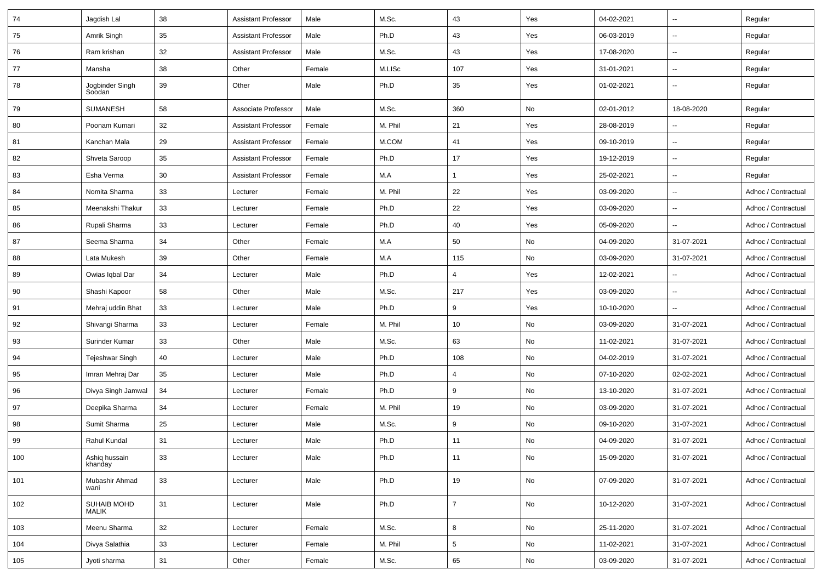| 74  | Jagdish Lal                 | 38 | <b>Assistant Professor</b> | Male   | M.Sc.   | 43              | Yes | 04-02-2021 | $\overline{\phantom{a}}$ | Regular             |
|-----|-----------------------------|----|----------------------------|--------|---------|-----------------|-----|------------|--------------------------|---------------------|
| 75  | Amrik Singh                 | 35 | <b>Assistant Professor</b> | Male   | Ph.D    | 43              | Yes | 06-03-2019 | $\overline{\phantom{a}}$ | Regular             |
| 76  | Ram krishan                 | 32 | Assistant Professor        | Male   | M.Sc.   | 43              | Yes | 17-08-2020 | $\overline{\phantom{a}}$ | Regular             |
| 77  | Mansha                      | 38 | Other                      | Female | M.LISc  | 107             | Yes | 31-01-2021 | $\overline{\phantom{a}}$ | Regular             |
| 78  | Jogbinder Singh<br>Soodan   | 39 | Other                      | Male   | Ph.D    | 35              | Yes | 01-02-2021 | $\overline{\phantom{a}}$ | Regular             |
| 79  | SUMANESH                    | 58 | Associate Professor        | Male   | M.Sc.   | 360             | No  | 02-01-2012 | 18-08-2020               | Regular             |
| 80  | Poonam Kumari               | 32 | <b>Assistant Professor</b> | Female | M. Phil | 21              | Yes | 28-08-2019 | $\overline{\phantom{a}}$ | Regular             |
| 81  | Kanchan Mala                | 29 | <b>Assistant Professor</b> | Female | M.COM   | 41              | Yes | 09-10-2019 | $\overline{\phantom{a}}$ | Regular             |
| 82  | Shveta Saroop               | 35 | <b>Assistant Professor</b> | Female | Ph.D    | 17              | Yes | 19-12-2019 | $\overline{\phantom{a}}$ | Regular             |
| 83  | Esha Verma                  | 30 | <b>Assistant Professor</b> | Female | M.A     |                 | Yes | 25-02-2021 | $\overline{\phantom{a}}$ | Regular             |
| 84  | Nomita Sharma               | 33 | Lecturer                   | Female | M. Phil | 22              | Yes | 03-09-2020 | $\overline{\phantom{a}}$ | Adhoc / Contractual |
| 85  | Meenakshi Thakur            | 33 | Lecturer                   | Female | Ph.D    | 22              | Yes | 03-09-2020 | $\overline{\phantom{a}}$ | Adhoc / Contractual |
| 86  | Rupali Sharma               | 33 | Lecturer                   | Female | Ph.D    | 40              | Yes | 05-09-2020 | $\sim$                   | Adhoc / Contractual |
| 87  | Seema Sharma                | 34 | Other                      | Female | M.A     | 50              | No  | 04-09-2020 | 31-07-2021               | Adhoc / Contractual |
| 88  | Lata Mukesh                 | 39 | Other                      | Female | M.A     | 115             | No  | 03-09-2020 | 31-07-2021               | Adhoc / Contractual |
| 89  | Owias Iqbal Dar             | 34 | Lecturer                   | Male   | Ph.D    | $\overline{4}$  | Yes | 12-02-2021 | $\overline{\phantom{a}}$ | Adhoc / Contractual |
| 90  | Shashi Kapoor               | 58 | Other                      | Male   | M.Sc.   | 217             | Yes | 03-09-2020 | $\overline{\phantom{a}}$ | Adhoc / Contractual |
| 91  | Mehraj uddin Bhat           | 33 | Lecturer                   | Male   | Ph.D    | 9               | Yes | 10-10-2020 | $\overline{\phantom{a}}$ | Adhoc / Contractual |
| 92  | Shivangi Sharma             | 33 | Lecturer                   | Female | M. Phil | 10              | No  | 03-09-2020 | 31-07-2021               | Adhoc / Contractual |
| 93  | Surinder Kumar              | 33 | Other                      | Male   | M.Sc.   | 63              | No  | 11-02-2021 | 31-07-2021               | Adhoc / Contractual |
| 94  | Tejeshwar Singh             | 40 | Lecturer                   | Male   | Ph.D    | 108             | No  | 04-02-2019 | 31-07-2021               | Adhoc / Contractual |
| 95  | Imran Mehraj Dar            | 35 | Lecturer                   | Male   | Ph.D    | $\overline{4}$  | No  | 07-10-2020 | 02-02-2021               | Adhoc / Contractual |
| 96  | Divya Singh Jamwal          | 34 | Lecturer                   | Female | Ph.D    | 9               | No  | 13-10-2020 | 31-07-2021               | Adhoc / Contractual |
| 97  | Deepika Sharma              | 34 | Lecturer                   | Female | M. Phil | 19              | No  | 03-09-2020 | 31-07-2021               | Adhoc / Contractual |
| 98  | Sumit Sharma                | 25 | Lecturer                   | Male   | M.Sc.   | 9               | No  | 09-10-2020 | 31-07-2021               | Adhoc / Contractual |
| 99  | Rahul Kundal                | 31 | Lecturer                   | Male   | Ph.D    | 11              | No  | 04-09-2020 | 31-07-2021               | Adhoc / Contractual |
| 100 | Ashiq hussain<br>khanday    | 33 | Lecturer                   | Male   | Ph.D    | 11              | No  | 15-09-2020 | 31-07-2021               | Adhoc / Contractual |
| 101 | Mubashir Ahmad<br>wani      | 33 | Lecturer                   | Male   | Ph.D    | 19              | No  | 07-09-2020 | 31-07-2021               | Adhoc / Contractual |
| 102 | SUHAIB MOHD<br><b>MALIK</b> | 31 | Lecturer                   | Male   | Ph.D    | $\overline{7}$  | No  | 10-12-2020 | 31-07-2021               | Adhoc / Contractual |
| 103 | Meenu Sharma                | 32 | Lecturer                   | Female | M.Sc.   | 8               | No  | 25-11-2020 | 31-07-2021               | Adhoc / Contractual |
| 104 | Divya Salathia              | 33 | Lecturer                   | Female | M. Phil | $5\phantom{.0}$ | No  | 11-02-2021 | 31-07-2021               | Adhoc / Contractual |
| 105 | Jyoti sharma                | 31 | Other                      | Female | M.Sc.   | 65              | No  | 03-09-2020 | 31-07-2021               | Adhoc / Contractual |